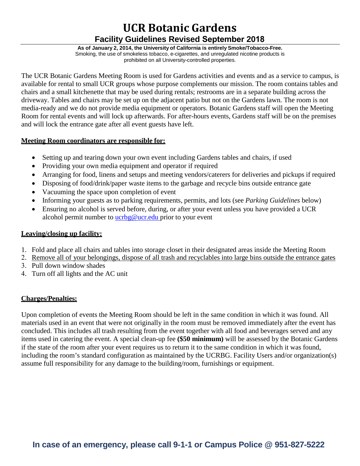# **UCR Botanic Gardens Facility Guidelines Revised September 2018**

**As of January 2, 2014, the University of California is entirely Smoke/Tobacco-Free.** Smoking, the use of smokeless tobacco, e-cigarettes, and unregulated nicotine products is prohibited on all University-controlled properties.

The UCR Botanic Gardens Meeting Room is used for Gardens activities and events and as a service to campus, is available for rental to small UCR groups whose purpose complements our mission. The room contains tables and chairs and a small kitchenette that may be used during rentals; restrooms are in a separate building across the driveway. Tables and chairs may be set up on the adjacent patio but not on the Gardens lawn. The room is not media-ready and we do not provide media equipment or operators. Botanic Gardens staff will open the Meeting Room for rental events and will lock up afterwards. For after-hours events, Gardens staff will be on the premises and will lock the entrance gate after all event guests have left.

#### **Meeting Room coordinators are responsible for:**

- Setting up and tearing down your own event including Gardens tables and chairs, if used
- Providing your own media equipment and operator if required
- Arranging for food, linens and setups and meeting vendors/caterers for deliveries and pickups if required
- Disposing of food/drink/paper waste items to the garbage and recycle bins outside entrance gate
- Vacuuming the space upon completion of event
- Informing your guests as to parking requirements, permits, and lots (see *Parking Guidelines* below)
- Ensuring no alcohol is served before, during, or after your event unless you have provided a UCR alcohol permit number to [ucrbg@ucr.edu p](mailto:ucrbg@ucr.edu)rior to your event

# **Leaving/closing up facility:**

- 1. Fold and place all chairs and tables into storage closet in their designated areas inside the Meeting Room
- 2. Remove all of your belongings, dispose of all trash and recyclables into large bins outside the entrance gates
- 3. Pull down window shades
- 4. Turn off all lights and the AC unit

# **Charges/Penalties:**

Upon completion of events the Meeting Room should be left in the same condition in which it was found. All materials used in an event that were not originally in the room must be removed immediately after the event has concluded. This includes all trash resulting from the event together with all food and beverages served and any items used in catering the event. A special clean-up fee **(\$50 minimum)** will be assessed by the Botanic Gardens if the state of the room after your event requires us to return it to the same condition in which it was found, including the room's standard configuration as maintained by the UCRBG. Facility Users and/or organization(s) assume full responsibility for any damage to the building/room, furnishings or equipment.